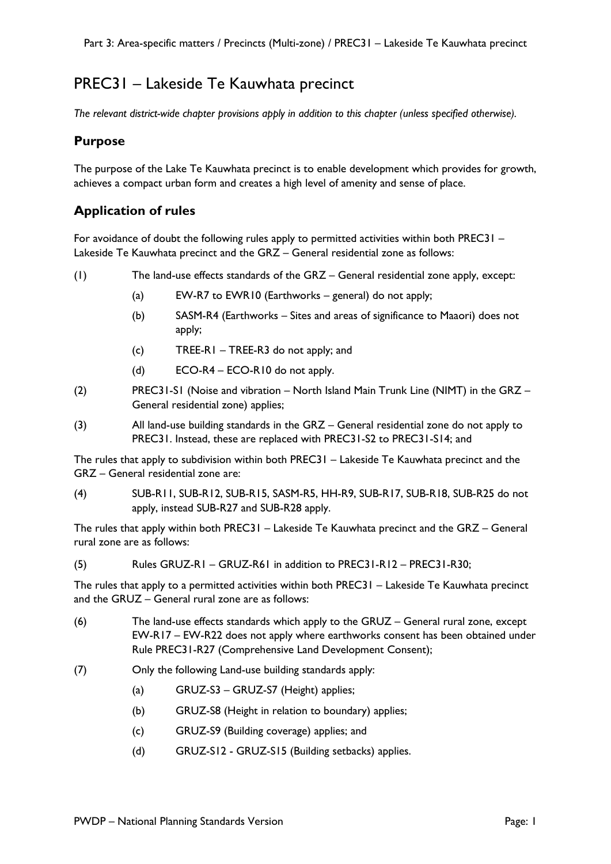# PREC31 – Lakeside Te Kauwhata precinct

*The relevant district-wide chapter provisions apply in addition to this chapter (unless specified otherwise).* 

## **Purpose**

The purpose of the Lake Te Kauwhata precinct is to enable development which provides for growth, achieves a compact urban form and creates a high level of amenity and sense of place.

# **Application of rules**

For avoidance of doubt the following rules apply to permitted activities within both PREC31 – Lakeside Te Kauwhata precinct and the GRZ – General residential zone as follows:

- (1) The land-use effects standards of the GRZ General residential zone apply, except:
	- (a) EW-R7 to EWR10 (Earthworks general) do not apply;
	- (b) SASM-R4 (Earthworks Sites and areas of significance to Maaori) does not apply;
	- (c) TREE-R1 TREE-R3 do not apply; and
	- (d) ECO-R4 ECO-R10 do not apply.
- (2) PREC31-S1 (Noise and vibration North Island Main Trunk Line (NIMT) in the GRZ General residential zone) applies;
- (3) All land-use building standards in the GRZ General residential zone do not apply to PREC31. Instead, these are replaced with PREC31-S2 to PREC31-S14; and

The rules that apply to subdivision within both PREC31 – Lakeside Te Kauwhata precinct and the GRZ – General residential zone are:

(4) SUB-R11, SUB-R12, SUB-R15, SASM-R5, HH-R9, SUB-R17, SUB-R18, SUB-R25 do not apply, instead SUB-R27 and SUB-R28 apply.

The rules that apply within both PREC31 – Lakeside Te Kauwhata precinct and the GRZ – General rural zone are as follows:

(5) Rules GRUZ-R1 – GRUZ-R61 in addition to PREC31-R12 – PREC31-R30;

The rules that apply to a permitted activities within both PREC31 – Lakeside Te Kauwhata precinct and the GRUZ – General rural zone are as follows:

- (6) The land-use effects standards which apply to the GRUZ General rural zone, except EW-R17 – EW-R22 does not apply where earthworks consent has been obtained under Rule PREC31-R27 (Comprehensive Land Development Consent);
- (7) Only the following Land-use building standards apply:
	- (a) GRUZ-S3 GRUZ-S7 (Height) applies;
	- (b) GRUZ-S8 (Height in relation to boundary) applies;
	- (c) GRUZ-S9 (Building coverage) applies; and
	- (d) GRUZ-S12 GRUZ-S15 (Building setbacks) applies.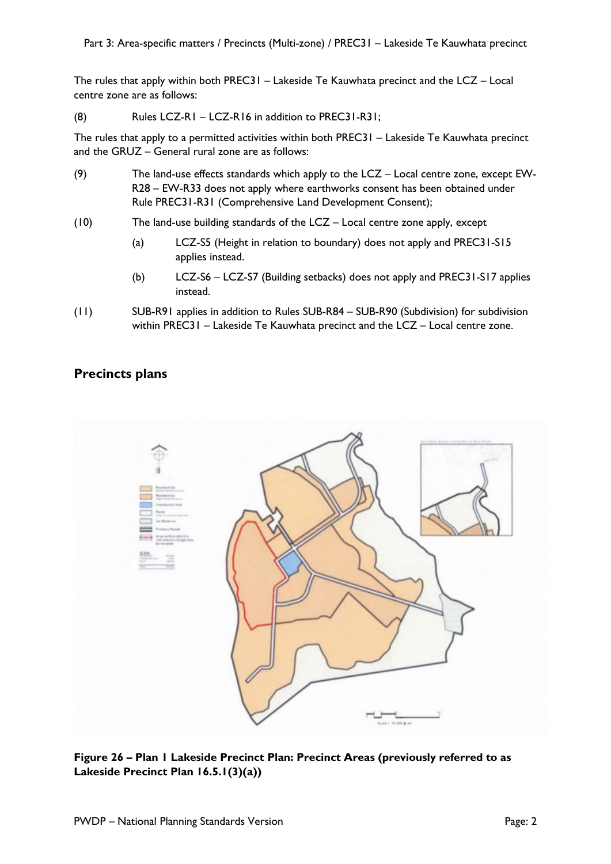The rules that apply within both PREC31 – Lakeside Te Kauwhata precinct and the LCZ – Local centre zone are as follows:

(8) Rules LCZ-R1 – LCZ-R16 in addition to PREC31-R31;

The rules that apply to a permitted activities within both PREC31 – Lakeside Te Kauwhata precinct and the GRUZ – General rural zone are as follows:

- (9) The land-use effects standards which apply to the LCZ Local centre zone, except EW-R28 – EW-R33 does not apply where earthworks consent has been obtained under Rule PREC31-R31 (Comprehensive Land Development Consent);
- (10) The land-use building standards of the LCZ Local centre zone apply, except
	- (a) LCZ-S5 (Height in relation to boundary) does not apply and PREC31-S15 applies instead.
	- (b) LCZ-S6 LCZ-S7 (Building setbacks) does not apply and PREC31-S17 applies instead.
- (11) SUB-R91 applies in addition to Rules SUB-R84 SUB-R90 (Subdivision) for subdivision within PREC31 – Lakeside Te Kauwhata precinct and the LCZ – Local centre zone.

## **Precincts plans**



**Figure 26 – Plan 1 Lakeside Precinct Plan: Precinct Areas (previously referred to as Lakeside Precinct Plan 16.5.1(3)(a))**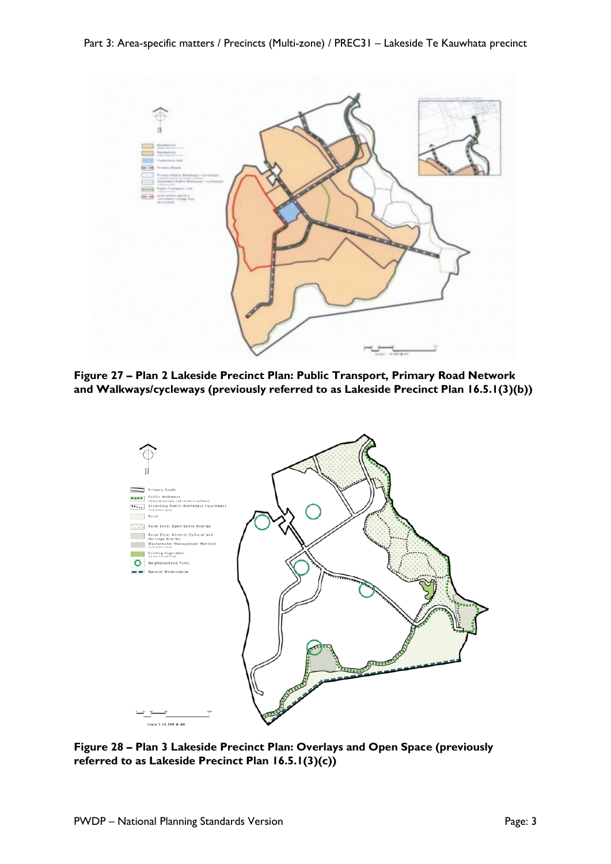

**Figure 27 – Plan 2 Lakeside Precinct Plan: Public Transport, Primary Road Network and Walkways/cycleways (previously referred to as Lakeside Precinct Plan 16.5.1(3)(b))** 



**Figure 28 – Plan 3 Lakeside Precinct Plan: Overlays and Open Space (previously referred to as Lakeside Precinct Plan 16.5.1(3)(c))**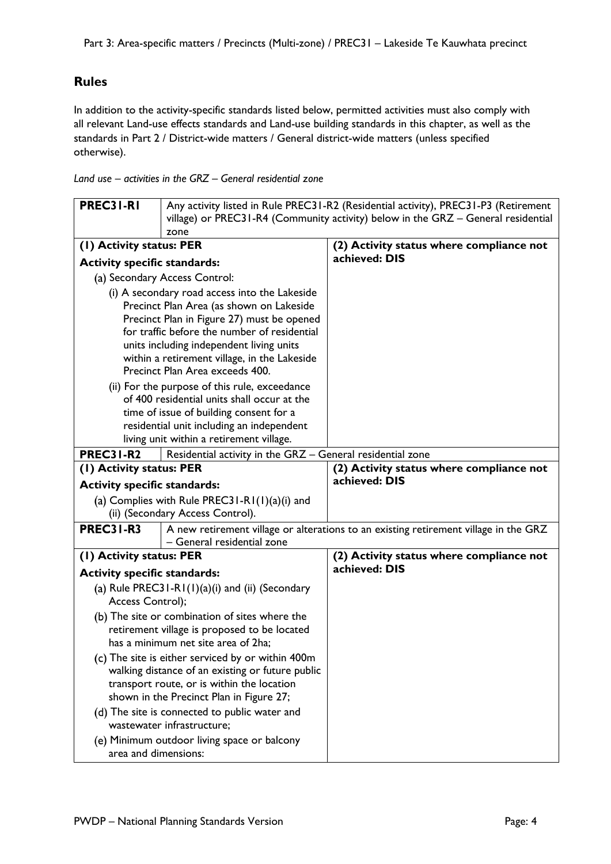# **Rules**

In addition to the activity-specific standards listed below, permitted activities must also comply with all relevant Land-use effects standards and Land-use building standards in this chapter, as well as the standards in Part 2 / District-wide matters / General district-wide matters (unless specified otherwise).

*Land use – activities in the GRZ – General residential zone*

| PREC31-RI                           | Any activity listed in Rule PREC31-R2 (Residential activity), PREC31-P3 (Retirement                                                                                                                                                                                                                                    |                                                                                      |
|-------------------------------------|------------------------------------------------------------------------------------------------------------------------------------------------------------------------------------------------------------------------------------------------------------------------------------------------------------------------|--------------------------------------------------------------------------------------|
|                                     | village) or PREC31-R4 (Community activity) below in the GRZ - General residential                                                                                                                                                                                                                                      |                                                                                      |
|                                     | zone                                                                                                                                                                                                                                                                                                                   |                                                                                      |
| (I) Activity status: PER            |                                                                                                                                                                                                                                                                                                                        | (2) Activity status where compliance not                                             |
| <b>Activity specific standards:</b> |                                                                                                                                                                                                                                                                                                                        | achieved: DIS                                                                        |
|                                     | (a) Secondary Access Control:                                                                                                                                                                                                                                                                                          |                                                                                      |
|                                     | (i) A secondary road access into the Lakeside<br>Precinct Plan Area (as shown on Lakeside<br>Precinct Plan in Figure 27) must be opened<br>for traffic before the number of residential<br>units including independent living units<br>within a retirement village, in the Lakeside<br>Precinct Plan Area exceeds 400. |                                                                                      |
|                                     | (ii) For the purpose of this rule, exceedance<br>of 400 residential units shall occur at the<br>time of issue of building consent for a<br>residential unit including an independent<br>living unit within a retirement village.                                                                                       |                                                                                      |
| <b>PREC31-R2</b>                    | Residential activity in the GRZ - General residential zone                                                                                                                                                                                                                                                             |                                                                                      |
| (1) Activity status: PER            |                                                                                                                                                                                                                                                                                                                        | (2) Activity status where compliance not                                             |
| <b>Activity specific standards:</b> |                                                                                                                                                                                                                                                                                                                        | achieved: DIS                                                                        |
|                                     | (a) Complies with Rule PREC31-R1 $(1)(a)(i)$ and                                                                                                                                                                                                                                                                       |                                                                                      |
|                                     | (ii) (Secondary Access Control).                                                                                                                                                                                                                                                                                       |                                                                                      |
| <b>PREC31-R3</b>                    | - General residential zone                                                                                                                                                                                                                                                                                             | A new retirement village or alterations to an existing retirement village in the GRZ |
| (I) Activity status: PER            |                                                                                                                                                                                                                                                                                                                        | (2) Activity status where compliance not                                             |
| <b>Activity specific standards:</b> |                                                                                                                                                                                                                                                                                                                        | achieved: DIS                                                                        |
| Access Control);                    | (a) Rule PREC31-R1 $(1)(a)(i)$ and $(ii)$ (Secondary                                                                                                                                                                                                                                                                   |                                                                                      |
|                                     | (b) The site or combination of sites where the<br>retirement village is proposed to be located<br>has a minimum net site area of 2ha;                                                                                                                                                                                  |                                                                                      |
|                                     | (c) The site is either serviced by or within 400m<br>walking distance of an existing or future public<br>transport route, or is within the location<br>shown in the Precinct Plan in Figure 27;<br>(d) The site is connected to public water and                                                                       |                                                                                      |
|                                     | wastewater infrastructure;                                                                                                                                                                                                                                                                                             |                                                                                      |
| area and dimensions:                | (e) Minimum outdoor living space or balcony                                                                                                                                                                                                                                                                            |                                                                                      |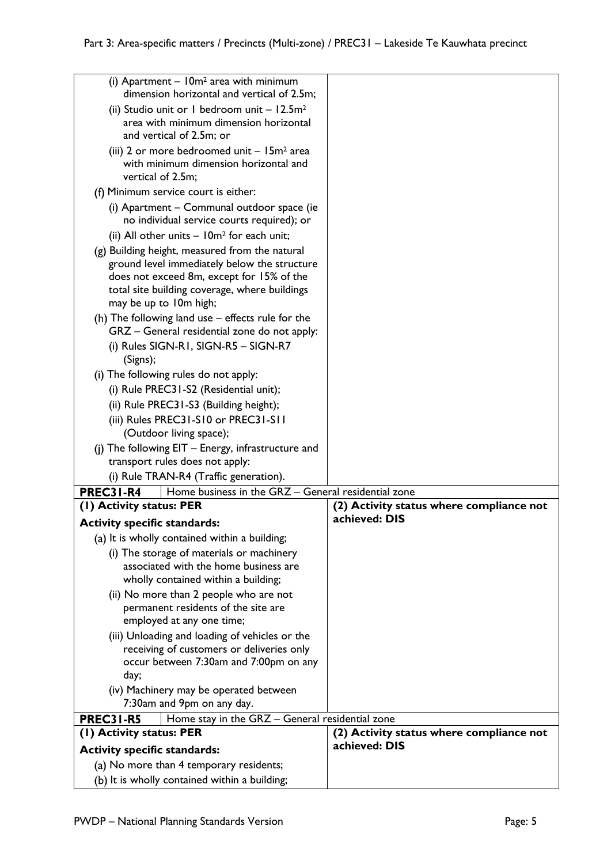| (i) Apartment $-10m^2$ area with minimum<br>dimension horizontal and vertical of 2.5m;                            |                                          |
|-------------------------------------------------------------------------------------------------------------------|------------------------------------------|
| (ii) Studio unit or 1 bedroom unit $-12.5m2$                                                                      |                                          |
| area with minimum dimension horizontal                                                                            |                                          |
| and vertical of 2.5m; or                                                                                          |                                          |
| (iii) 2 or more bedroomed unit $-15m^2$ area<br>with minimum dimension horizontal and                             |                                          |
| vertical of 2.5m;                                                                                                 |                                          |
| (f) Minimum service court is either:                                                                              |                                          |
| (i) Apartment - Communal outdoor space (ie                                                                        |                                          |
| no individual service courts required); or                                                                        |                                          |
| (ii) All other units $-10m^2$ for each unit;                                                                      |                                          |
| (g) Building height, measured from the natural                                                                    |                                          |
| ground level immediately below the structure<br>does not exceed 8m, except for 15% of the                         |                                          |
| total site building coverage, where buildings                                                                     |                                          |
| may be up to 10m high;                                                                                            |                                          |
| (h) The following land use – effects rule for the                                                                 |                                          |
| GRZ - General residential zone do not apply:                                                                      |                                          |
| (i) Rules SIGN-R1, SIGN-R5 - SIGN-R7<br>(Signs);                                                                  |                                          |
| (i) The following rules do not apply:                                                                             |                                          |
| (i) Rule PREC31-S2 (Residential unit);                                                                            |                                          |
| (ii) Rule PREC31-S3 (Building height);                                                                            |                                          |
| (iii) Rules PREC31-S10 or PREC31-S11                                                                              |                                          |
| (Outdoor living space);                                                                                           |                                          |
| (i) The following EIT - Energy, infrastructure and                                                                |                                          |
| transport rules does not apply:                                                                                   |                                          |
| (i) Rule TRAN-R4 (Traffic generation).<br><b>PREC31-R4</b><br>Home business in the GRZ - General residential zone |                                          |
| (1) Activity status: PER                                                                                          | (2) Activity status where compliance not |
| <b>Activity specific standards:</b>                                                                               | achieved: DIS                            |
| (a) It is wholly contained within a building;                                                                     |                                          |
| (i) The storage of materials or machinery                                                                         |                                          |
| associated with the home business are                                                                             |                                          |
| wholly contained within a building;                                                                               |                                          |
| (ii) No more than 2 people who are not<br>permanent residents of the site are                                     |                                          |
| employed at any one time;                                                                                         |                                          |
| (iii) Unloading and loading of vehicles or the                                                                    |                                          |
| receiving of customers or deliveries only                                                                         |                                          |
| occur between 7:30am and 7:00pm on any                                                                            |                                          |
| day;<br>(iv) Machinery may be operated between                                                                    |                                          |
| 7:30am and 9pm on any day.                                                                                        |                                          |
| <b>PREC31-R5</b><br>Home stay in the GRZ - General residential zone                                               |                                          |
| (I) Activity status: PER                                                                                          | (2) Activity status where compliance not |
| <b>Activity specific standards:</b>                                                                               | achieved: DIS                            |
| (a) No more than 4 temporary residents;                                                                           |                                          |
| (b) It is wholly contained within a building;                                                                     |                                          |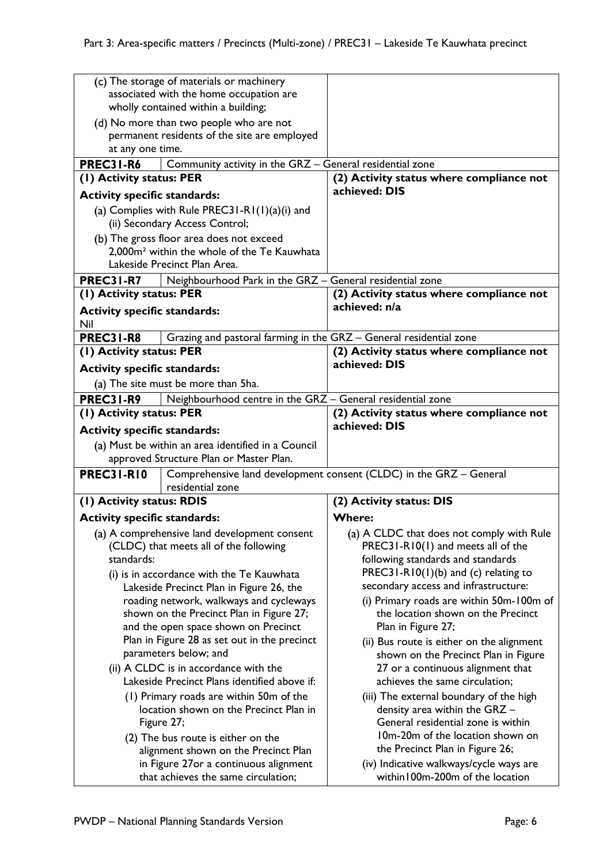| (c) The storage of materials or machinery                                              |                                                                    |
|----------------------------------------------------------------------------------------|--------------------------------------------------------------------|
| associated with the home occupation are                                                |                                                                    |
| wholly contained within a building;                                                    |                                                                    |
| (d) No more than two people who are not                                                |                                                                    |
| permanent residents of the site are employed                                           |                                                                    |
| at any one time.                                                                       |                                                                    |
| <b>PREC31-R6</b><br>Community activity in the GRZ - General residential zone           |                                                                    |
| (1) Activity status: PER                                                               | (2) Activity status where compliance not                           |
|                                                                                        | achieved: DIS                                                      |
| <b>Activity specific standards:</b>                                                    |                                                                    |
| (a) Complies with Rule PREC31-R1 $(1)(a)(i)$ and                                       |                                                                    |
| (ii) Secondary Access Control;                                                         |                                                                    |
| (b) The gross floor area does not exceed                                               |                                                                    |
| 2,000m <sup>2</sup> within the whole of the Te Kauwhata                                |                                                                    |
| Lakeside Precinct Plan Area.                                                           |                                                                    |
| <b>PREC31-R7</b>                                                                       |                                                                    |
| Neighbourhood Park in the GRZ - General residential zone                               |                                                                    |
| (1) Activity status: PER                                                               | (2) Activity status where compliance not<br>achieved: n/a          |
| <b>Activity specific standards:</b>                                                    |                                                                    |
| Nil                                                                                    |                                                                    |
| <b>PREC31-R8</b><br>Grazing and pastoral farming in the GRZ - General residential zone |                                                                    |
| (1) Activity status: PER                                                               | (2) Activity status where compliance not                           |
| <b>Activity specific standards:</b>                                                    | achieved: DIS                                                      |
| (a) The site must be more than 5ha.                                                    |                                                                    |
| <b>PREC31-R9</b><br>Neighbourhood centre in the GRZ - General residential zone         |                                                                    |
| (I) Activity status: PER                                                               | (2) Activity status where compliance not                           |
|                                                                                        | achieved: DIS                                                      |
| <b>Activity specific standards:</b>                                                    |                                                                    |
| (a) Must be within an area identified in a Council                                     |                                                                    |
| approved Structure Plan or Master Plan.                                                |                                                                    |
| <b>PREC31-R10</b>                                                                      | Comprehensive land development consent (CLDC) in the GRZ - General |
| residential zone                                                                       |                                                                    |
| (I) Activity status: RDIS                                                              | (2) Activity status: DIS                                           |
| <b>Activity specific standards:</b>                                                    | <b>Where:</b>                                                      |
| (a) A comprehensive land development consent                                           | (a) A CLDC that does not comply with Rule                          |
|                                                                                        | PREC31-R10(1) and meets all of the                                 |
| (CLDC) that meets all of the following<br>standards:                                   |                                                                    |
|                                                                                        | following standards and standards                                  |
| (i) is in accordance with the Te Kauwhata                                              | PREC31-R10(1)(b) and (c) relating to                               |
| Lakeside Precinct Plan in Figure 26, the                                               | secondary access and infrastructure:                               |
| roading network, walkways and cycleways                                                | (i) Primary roads are within 50m-100m of                           |
| shown on the Precinct Plan in Figure 27;                                               | the location shown on the Precinct                                 |
| and the open space shown on Precinct                                                   | Plan in Figure 27;                                                 |
| Plan in Figure 28 as set out in the precinct                                           | (ii) Bus route is either on the alignment                          |
| parameters below; and                                                                  | shown on the Precinct Plan in Figure                               |
| (ii) A CLDC is in accordance with the                                                  | 27 or a continuous alignment that                                  |
| Lakeside Precinct Plans identified above if:                                           | achieves the same circulation;                                     |
|                                                                                        |                                                                    |
| (1) Primary roads are within 50m of the                                                | (iii) The external boundary of the high                            |
| location shown on the Precinct Plan in                                                 | density area within the GRZ -                                      |
| Figure 27;                                                                             | General residential zone is within                                 |
| (2) The bus route is either on the                                                     | 10m-20m of the location shown on                                   |
| alignment shown on the Precinct Plan                                                   | the Precinct Plan in Figure 26;                                    |
| in Figure 27or a continuous alignment                                                  | (iv) Indicative walkways/cycle ways are                            |
| that achieves the same circulation;                                                    | within 100m-200m of the location                                   |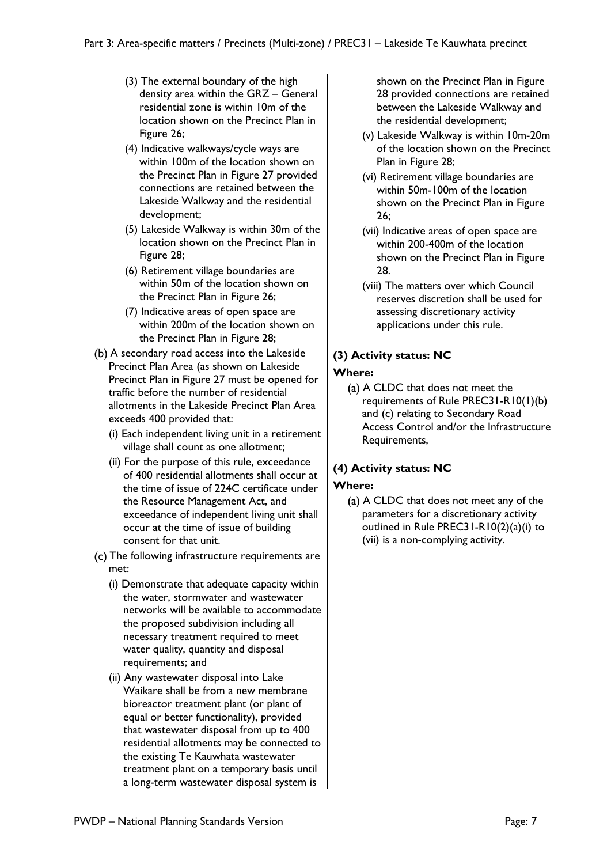- (3) The external boundary of the high density area within the GRZ – General residential zone is within 10m of the location shown on the Precinct Plan in Figure 26;
- (4) Indicative walkways/cycle ways are within 100m of the location shown on the Precinct Plan in Figure 27 provided connections are retained between the Lakeside Walkway and the residential development;
- (5) Lakeside Walkway is within 30m of the location shown on the Precinct Plan in Figure 28;
- (6) Retirement village boundaries are within 50m of the location shown on the Precinct Plan in Figure 26;
- (7) Indicative areas of open space are within 200m of the location shown on the Precinct Plan in Figure 28;
- (b) A secondary road access into the Lakeside Precinct Plan Area (as shown on Lakeside Precinct Plan in Figure 27 must be opened for traffic before the number of residential allotments in the Lakeside Precinct Plan Area exceeds 400 provided that:
	- (i) Each independent living unit in a retirement village shall count as one allotment;
	- (ii) For the purpose of this rule, exceedance of 400 residential allotments shall occur at the time of issue of 224C certificate under the Resource Management Act, and exceedance of independent living unit shall occur at the time of issue of building consent for that unit.
- (c) The following infrastructure requirements are met:
	- (i) Demonstrate that adequate capacity within the water, stormwater and wastewater networks will be available to accommodate the proposed subdivision including all necessary treatment required to meet water quality, quantity and disposal requirements; and
	- (ii) Any wastewater disposal into Lake Waikare shall be from a new membrane bioreactor treatment plant (or plant of equal or better functionality), provided that wastewater disposal from up to 400 residential allotments may be connected to the existing Te Kauwhata wastewater treatment plant on a temporary basis until a long-term wastewater disposal system is

shown on the Precinct Plan in Figure 28 provided connections are retained between the Lakeside Walkway and the residential development;

- (v) Lakeside Walkway is within 10m-20m of the location shown on the Precinct Plan in Figure 28;
- (vi) Retirement village boundaries are within 50m-100m of the location shown on the Precinct Plan in Figure 26;
- (vii) Indicative areas of open space are within 200-400m of the location shown on the Precinct Plan in Figure 28.
- (viii) The matters over which Council reserves discretion shall be used for assessing discretionary activity applications under this rule.

# **(3) Activity status: NC**

## **Where:**

(a) A CLDC that does not meet the requirements of Rule PREC31-R10(1)(b) and (c) relating to Secondary Road Access Control and/or the Infrastructure Requirements,

# **(4) Activity status: NC**

#### **Where:**

(a) A CLDC that does not meet any of the parameters for a discretionary activity outlined in Rule PREC31-R10(2)(a)(i) to (vii) is a non-complying activity.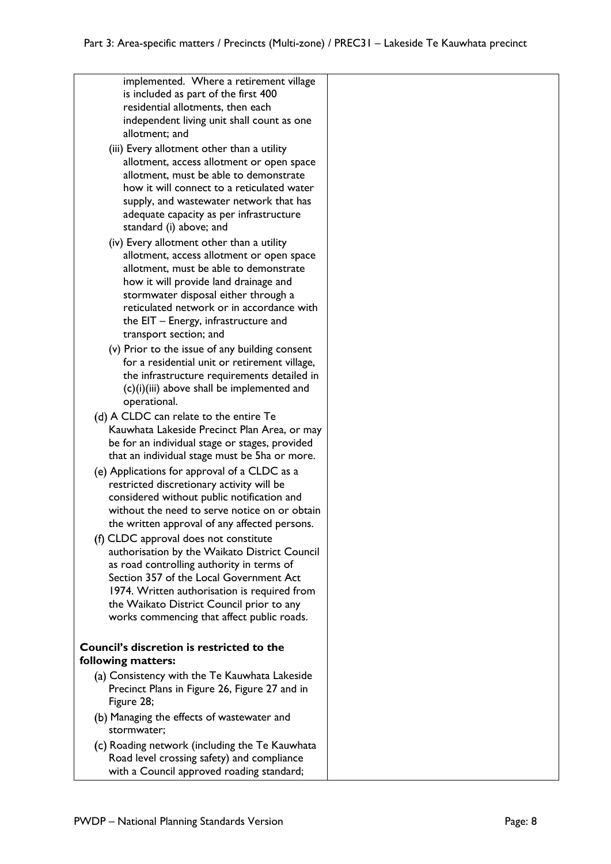| implemented. Where a retirement village                                                        |  |
|------------------------------------------------------------------------------------------------|--|
| is included as part of the first 400<br>residential allotments, then each                      |  |
| independent living unit shall count as one                                                     |  |
| allotment; and                                                                                 |  |
| (iii) Every allotment other than a utility                                                     |  |
| allotment, access allotment or open space                                                      |  |
| allotment, must be able to demonstrate                                                         |  |
| how it will connect to a reticulated water                                                     |  |
| supply, and wastewater network that has<br>adequate capacity as per infrastructure             |  |
| standard (i) above; and                                                                        |  |
| (iv) Every allotment other than a utility                                                      |  |
| allotment, access allotment or open space                                                      |  |
| allotment, must be able to demonstrate                                                         |  |
| how it will provide land drainage and                                                          |  |
| stormwater disposal either through a                                                           |  |
| reticulated network or in accordance with<br>the EIT - Energy, infrastructure and              |  |
| transport section; and                                                                         |  |
| (v) Prior to the issue of any building consent                                                 |  |
| for a residential unit or retirement village,                                                  |  |
| the infrastructure requirements detailed in                                                    |  |
| (c)(i)(iii) above shall be implemented and                                                     |  |
| operational.                                                                                   |  |
| (d) A CLDC can relate to the entire Te<br>Kauwhata Lakeside Precinct Plan Area, or may         |  |
| be for an individual stage or stages, provided                                                 |  |
| that an individual stage must be 5ha or more.                                                  |  |
| (e) Applications for approval of a CLDC as a                                                   |  |
| restricted discretionary activity will be                                                      |  |
| considered without public notification and                                                     |  |
| without the need to serve notice on or obtain<br>the written approval of any affected persons. |  |
| (f) CLDC approval does not constitute                                                          |  |
| authorisation by the Waikato District Council                                                  |  |
| as road controlling authority in terms of                                                      |  |
| Section 357 of the Local Government Act                                                        |  |
| 1974. Written authorisation is required from                                                   |  |
| the Waikato District Council prior to any                                                      |  |
| works commencing that affect public roads.                                                     |  |
| <b>Council's discretion is restricted to the</b>                                               |  |
| following matters:                                                                             |  |
| (a) Consistency with the Te Kauwhata Lakeside                                                  |  |
| Precinct Plans in Figure 26, Figure 27 and in                                                  |  |
| Figure 28;                                                                                     |  |
| (b) Managing the effects of wastewater and                                                     |  |
| stormwater;                                                                                    |  |
| (c) Roading network (including the Te Kauwhata<br>Road level crossing safety) and compliance   |  |
| with a Council approved roading standard;                                                      |  |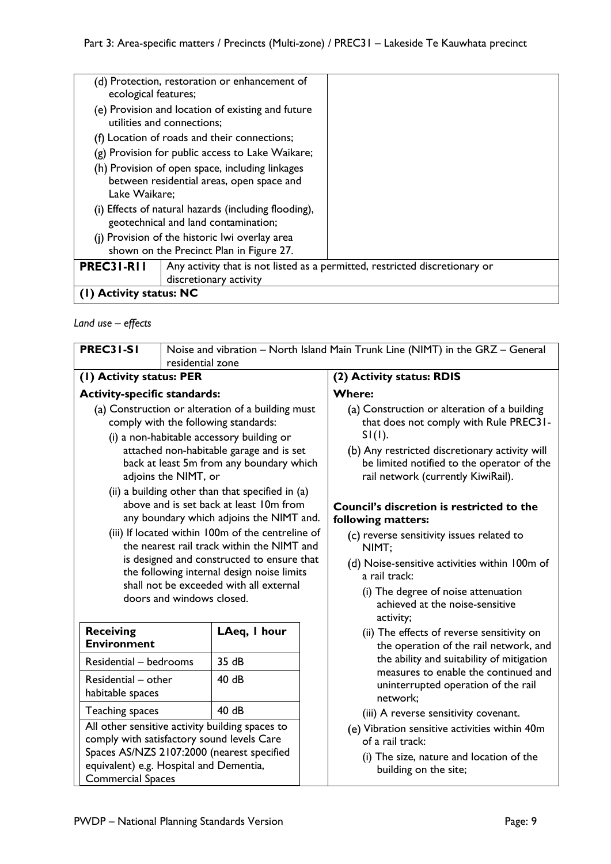| ecological features;    | (d) Protection, restoration or enhancement of                                                         |  |
|-------------------------|-------------------------------------------------------------------------------------------------------|--|
|                         | (e) Provision and location of existing and future<br>utilities and connections;                       |  |
|                         | (f) Location of roads and their connections;                                                          |  |
|                         | (g) Provision for public access to Lake Waikare;                                                      |  |
| Lake Waikare;           | (h) Provision of open space, including linkages<br>between residential areas, open space and          |  |
|                         | (i) Effects of natural hazards (including flooding),<br>geotechnical and land contamination;          |  |
|                         | (i) Provision of the historic lwi overlay area<br>shown on the Precinct Plan in Figure 27.            |  |
| PREC31-R11              | Any activity that is not listed as a permitted, restricted discretionary or<br>discretionary activity |  |
| (1) Activity status: NC |                                                                                                       |  |

## *Land use – effects*

| <b>PREC31-S1</b>                                                                                                  | Noise and vibration - North Island Main Trunk Line (NIMT) in the GRZ - General |                                                                                                                                                                                                                                                                                                                                                                                                                                                                                                                                                                                                                     |                                                                                                                                                                                                                                                                                                                                                                                                                                                                                                                             |
|-------------------------------------------------------------------------------------------------------------------|--------------------------------------------------------------------------------|---------------------------------------------------------------------------------------------------------------------------------------------------------------------------------------------------------------------------------------------------------------------------------------------------------------------------------------------------------------------------------------------------------------------------------------------------------------------------------------------------------------------------------------------------------------------------------------------------------------------|-----------------------------------------------------------------------------------------------------------------------------------------------------------------------------------------------------------------------------------------------------------------------------------------------------------------------------------------------------------------------------------------------------------------------------------------------------------------------------------------------------------------------------|
|                                                                                                                   | residential zone                                                               |                                                                                                                                                                                                                                                                                                                                                                                                                                                                                                                                                                                                                     |                                                                                                                                                                                                                                                                                                                                                                                                                                                                                                                             |
| (1) Activity status: PER                                                                                          |                                                                                | (2) Activity status: RDIS                                                                                                                                                                                                                                                                                                                                                                                                                                                                                                                                                                                           |                                                                                                                                                                                                                                                                                                                                                                                                                                                                                                                             |
| <b>Activity-specific standards:</b>                                                                               |                                                                                |                                                                                                                                                                                                                                                                                                                                                                                                                                                                                                                                                                                                                     | <b>Where:</b>                                                                                                                                                                                                                                                                                                                                                                                                                                                                                                               |
|                                                                                                                   | adjoins the NIMT, or<br>doors and windows closed.                              | (a) Construction or alteration of a building must<br>comply with the following standards:<br>(i) a non-habitable accessory building or<br>attached non-habitable garage and is set<br>back at least 5m from any boundary which<br>(ii) a building other than that specified in (a)<br>above and is set back at least 10m from<br>any boundary which adjoins the NIMT and.<br>(iii) If located within 100m of the centreline of<br>the nearest rail track within the NIMT and<br>is designed and constructed to ensure that<br>the following internal design noise limits<br>shall not be exceeded with all external | (a) Construction or alteration of a building<br>that does not comply with Rule PREC31-<br>$SI(1)$ .<br>(b) Any restricted discretionary activity will<br>be limited notified to the operator of the<br>rail network (currently KiwiRail).<br>Council's discretion is restricted to the<br>following matters:<br>(c) reverse sensitivity issues related to<br>NIMT:<br>(d) Noise-sensitive activities within 100m of<br>a rail track:<br>(i) The degree of noise attenuation<br>achieved at the noise-sensitive<br>activity; |
| <b>Receiving</b><br><b>Environment</b>                                                                            |                                                                                | LAeq, I hour                                                                                                                                                                                                                                                                                                                                                                                                                                                                                                                                                                                                        | (ii) The effects of reverse sensitivity on<br>the operation of the rail network, and                                                                                                                                                                                                                                                                                                                                                                                                                                        |
| Residential - bedrooms                                                                                            |                                                                                | 35dB                                                                                                                                                                                                                                                                                                                                                                                                                                                                                                                                                                                                                | the ability and suitability of mitigation<br>measures to enable the continued and                                                                                                                                                                                                                                                                                                                                                                                                                                           |
| Residential - other<br>habitable spaces                                                                           |                                                                                | 40 dB                                                                                                                                                                                                                                                                                                                                                                                                                                                                                                                                                                                                               | uninterrupted operation of the rail<br>network;                                                                                                                                                                                                                                                                                                                                                                                                                                                                             |
| Teaching spaces                                                                                                   |                                                                                | 40 dB                                                                                                                                                                                                                                                                                                                                                                                                                                                                                                                                                                                                               | (iii) A reverse sensitivity covenant.                                                                                                                                                                                                                                                                                                                                                                                                                                                                                       |
| comply with satisfactory sound levels Care<br>equivalent) e.g. Hospital and Dementia,<br><b>Commercial Spaces</b> |                                                                                | All other sensitive activity building spaces to<br>Spaces AS/NZS 2107:2000 (nearest specified                                                                                                                                                                                                                                                                                                                                                                                                                                                                                                                       | (e) Vibration sensitive activities within 40m<br>of a rail track:<br>(i) The size, nature and location of the<br>building on the site;                                                                                                                                                                                                                                                                                                                                                                                      |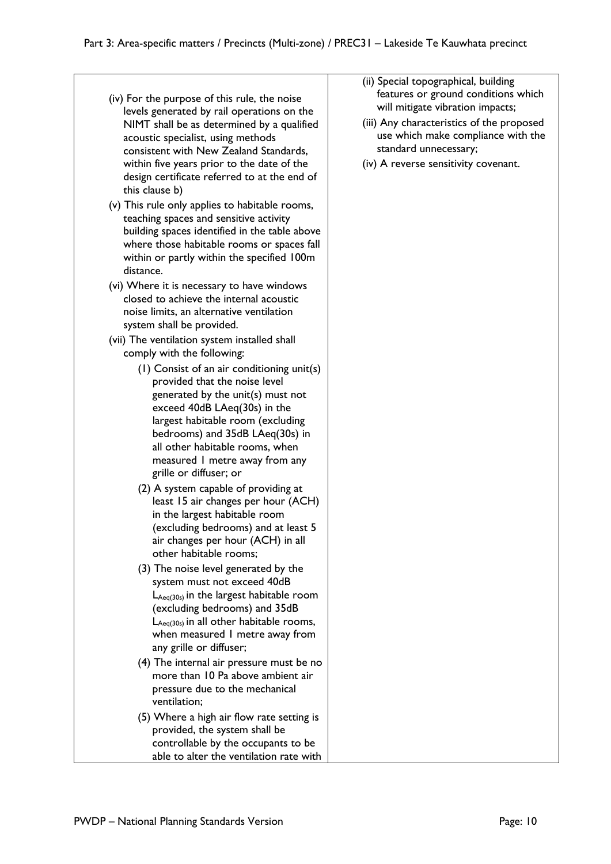- (iv) For the purpose of this rule, the noise levels generated by rail operations on the NIMT shall be as determined by a qualified acoustic specialist, using methods consistent with New Zealand Standards, within five years prior to the date of the design certificate referred to at the end of this clause b)
- (v) This rule only applies to habitable rooms, teaching spaces and sensitive activity building spaces identified in the table above where those habitable rooms or spaces fall within or partly within the specified 100m distance.
- (vi) Where it is necessary to have windows closed to achieve the internal acoustic noise limits, an alternative ventilation system shall be provided.
- (vii) The ventilation system installed shall comply with the following:
	- (1) Consist of an air conditioning unit(s) provided that the noise level generated by the unit(s) must not exceed 40dB LAeq(30s) in the largest habitable room (excluding bedrooms) and 35dB LAeq(30s) in all other habitable rooms, when measured 1 metre away from any grille or diffuser; or
	- (2) A system capable of providing at least 15 air changes per hour (ACH) in the largest habitable room (excluding bedrooms) and at least 5 air changes per hour (ACH) in all other habitable rooms;
	- (3) The noise level generated by the system must not exceed 40dB  $L_{Aeq(30s)}$  in the largest habitable room (excluding bedrooms) and 35dB  $L_{Aeq(30s)}$  in all other habitable rooms, when measured 1 metre away from any grille or diffuser;
	- (4) The internal air pressure must be no more than 10 Pa above ambient air pressure due to the mechanical ventilation;
	- (5) Where a high air flow rate setting is provided, the system shall be controllable by the occupants to be able to alter the ventilation rate with
- (ii) Special topographical, building features or ground conditions which will mitigate vibration impacts;
- (iii) Any characteristics of the proposed use which make compliance with the standard unnecessary;
- (iv) A reverse sensitivity covenant.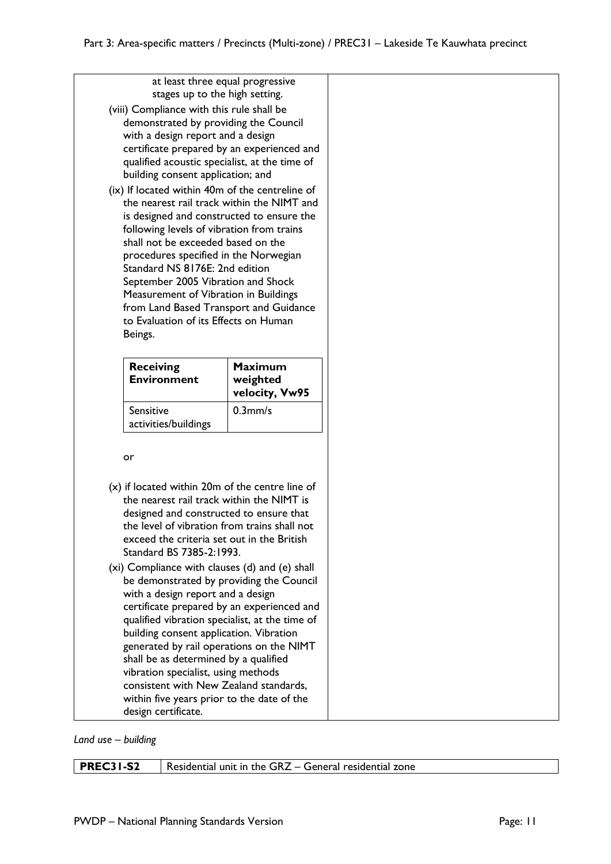| at least three equal progressive                                                              |                            |
|-----------------------------------------------------------------------------------------------|----------------------------|
| stages up to the high setting.                                                                |                            |
| (viii) Compliance with this rule shall be                                                     |                            |
| demonstrated by providing the Council                                                         |                            |
| with a design report and a design<br>certificate prepared by an experienced and               |                            |
| qualified acoustic specialist, at the time of                                                 |                            |
| building consent application; and                                                             |                            |
| (ix) If located within 40m of the centreline of<br>the nearest rail track within the NIMT and |                            |
| is designed and constructed to ensure the                                                     |                            |
| following levels of vibration from trains<br>shall not be exceeded based on the               |                            |
| procedures specified in the Norwegian                                                         |                            |
| Standard NS 8176E: 2nd edition                                                                |                            |
| September 2005 Vibration and Shock<br>Measurement of Vibration in Buildings                   |                            |
| from Land Based Transport and Guidance                                                        |                            |
| to Evaluation of its Effects on Human<br>Beings.                                              |                            |
|                                                                                               |                            |
| <b>Receiving</b>                                                                              | <b>Maximum</b>             |
| <b>Environment</b>                                                                            | weighted<br>velocity, Vw95 |
| Sensitive<br>activities/buildings                                                             | $0.3$ mm/s                 |
|                                                                                               |                            |
|                                                                                               |                            |
| or                                                                                            |                            |
| $(x)$ if located within 20m of the centre line of                                             |                            |
| the nearest rail track within the NIMT is                                                     |                            |
| designed and constructed to ensure that<br>the level of vibration from trains shall not       |                            |
| exceed the criteria set out in the British                                                    |                            |
| Standard BS 7385-2:1993.                                                                      |                            |
| (xi) Compliance with clauses (d) and (e) shall<br>be demonstrated by providing the Council    |                            |
| with a design report and a design                                                             |                            |
| certificate prepared by an experienced and<br>qualified vibration specialist, at the time of  |                            |
| building consent application. Vibration                                                       |                            |
| generated by rail operations on the NIMT<br>shall be as determined by a qualified             |                            |
| vibration specialist, using methods                                                           |                            |
| consistent with New Zealand standards,<br>within five years prior to the date of the          |                            |

*Land use – building*

**PREC31-S2** Residential unit in the GRZ – General residential zone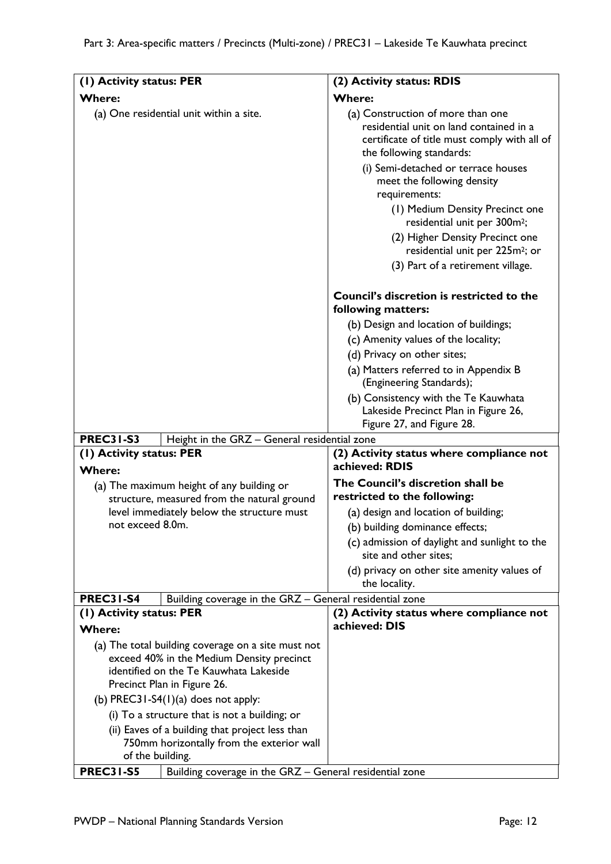| (I) Activity status: PER                                                                                         | (2) Activity status: RDIS                                                                                                                                                                       |
|------------------------------------------------------------------------------------------------------------------|-------------------------------------------------------------------------------------------------------------------------------------------------------------------------------------------------|
| <b>Where:</b>                                                                                                    | <b>Where:</b>                                                                                                                                                                                   |
| (a) One residential unit within a site.                                                                          | (a) Construction of more than one<br>residential unit on land contained in a<br>certificate of title must comply with all of<br>the following standards:<br>(i) Semi-detached or terrace houses |
|                                                                                                                  | meet the following density<br>requirements:                                                                                                                                                     |
|                                                                                                                  | (1) Medium Density Precinct one<br>residential unit per 300m <sup>2</sup> ;                                                                                                                     |
|                                                                                                                  | (2) Higher Density Precinct one<br>residential unit per 225m <sup>2</sup> ; or                                                                                                                  |
|                                                                                                                  | (3) Part of a retirement village.                                                                                                                                                               |
|                                                                                                                  | Council's discretion is restricted to the<br>following matters:                                                                                                                                 |
|                                                                                                                  | (b) Design and location of buildings;                                                                                                                                                           |
|                                                                                                                  | (c) Amenity values of the locality;                                                                                                                                                             |
|                                                                                                                  | (d) Privacy on other sites;                                                                                                                                                                     |
|                                                                                                                  | (a) Matters referred to in Appendix B<br>(Engineering Standards);                                                                                                                               |
|                                                                                                                  | (b) Consistency with the Te Kauwhata<br>Lakeside Precinct Plan in Figure 26,<br>Figure 27, and Figure 28.                                                                                       |
| <b>PREC31-S3</b><br>Height in the GRZ - General residential zone                                                 |                                                                                                                                                                                                 |
| (1) Activity status: PER<br><b>Where:</b>                                                                        | (2) Activity status where compliance not<br>achieved: RDIS                                                                                                                                      |
| (a) The maximum height of any building or                                                                        | The Council's discretion shall be                                                                                                                                                               |
| structure, measured from the natural ground                                                                      | restricted to the following:                                                                                                                                                                    |
| level immediately below the structure must                                                                       | (a) design and location of building;                                                                                                                                                            |
| not exceed 8.0m.                                                                                                 | (b) building dominance effects;                                                                                                                                                                 |
|                                                                                                                  | (c) admission of daylight and sunlight to the<br>site and other sites;                                                                                                                          |
|                                                                                                                  | (d) privacy on other site amenity values of<br>the locality.                                                                                                                                    |
| <b>PREC31-S4</b><br>Building coverage in the GRZ - General residential zone                                      |                                                                                                                                                                                                 |
| (1) Activity status: PER<br><b>Where:</b>                                                                        | (2) Activity status where compliance not<br>achieved: DIS                                                                                                                                       |
| (a) The total building coverage on a site must not                                                               |                                                                                                                                                                                                 |
| exceed 40% in the Medium Density precinct                                                                        |                                                                                                                                                                                                 |
| identified on the Te Kauwhata Lakeside                                                                           |                                                                                                                                                                                                 |
| Precinct Plan in Figure 26.                                                                                      |                                                                                                                                                                                                 |
| (b) PREC31-S4 $(1)(a)$ does not apply:                                                                           |                                                                                                                                                                                                 |
| (i) To a structure that is not a building; or                                                                    |                                                                                                                                                                                                 |
| (ii) Eaves of a building that project less than<br>750mm horizontally from the exterior wall<br>of the building. |                                                                                                                                                                                                 |
| <b>PREC31-S5</b><br>Building coverage in the GRZ - General residential zone                                      |                                                                                                                                                                                                 |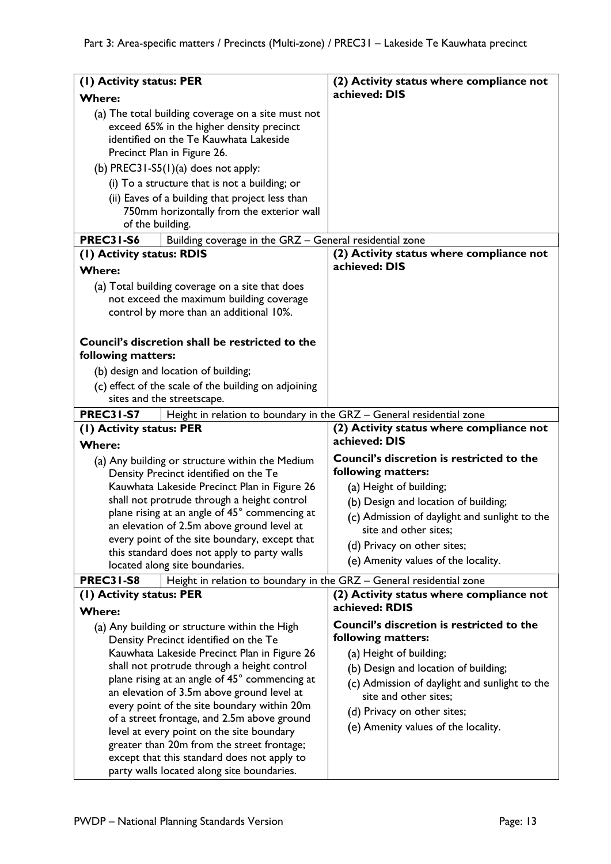| (I) Activity status: PER  |                                                                                             | (2) Activity status where compliance not                   |
|---------------------------|---------------------------------------------------------------------------------------------|------------------------------------------------------------|
| <b>Where:</b>             |                                                                                             | achieved: DIS                                              |
|                           | (a) The total building coverage on a site must not                                          |                                                            |
|                           | exceed 65% in the higher density precinct                                                   |                                                            |
|                           | identified on the Te Kauwhata Lakeside                                                      |                                                            |
|                           | Precinct Plan in Figure 26.                                                                 |                                                            |
|                           | (b) PREC31-S5(1)(a) does not apply:                                                         |                                                            |
|                           | (i) To a structure that is not a building; or                                               |                                                            |
|                           | (ii) Eaves of a building that project less than                                             |                                                            |
|                           | 750mm horizontally from the exterior wall                                                   |                                                            |
| of the building.          |                                                                                             |                                                            |
| <b>PREC31-S6</b>          | Building coverage in the GRZ - General residential zone                                     |                                                            |
| (I) Activity status: RDIS |                                                                                             | (2) Activity status where compliance not                   |
| <b>Where:</b>             |                                                                                             | achieved: DIS                                              |
|                           | (a) Total building coverage on a site that does                                             |                                                            |
|                           | not exceed the maximum building coverage                                                    |                                                            |
|                           | control by more than an additional 10%.                                                     |                                                            |
|                           |                                                                                             |                                                            |
|                           | Council's discretion shall be restricted to the                                             |                                                            |
| following matters:        |                                                                                             |                                                            |
|                           | (b) design and location of building;                                                        |                                                            |
|                           | (c) effect of the scale of the building on adjoining                                        |                                                            |
|                           | sites and the streetscape.                                                                  |                                                            |
| <b>PREC31-S7</b>          | Height in relation to boundary in the GRZ - General residential zone                        |                                                            |
|                           |                                                                                             |                                                            |
| (1) Activity status: PER  |                                                                                             | (2) Activity status where compliance not                   |
| <b>Where:</b>             |                                                                                             | achieved: DIS                                              |
|                           |                                                                                             | <b>Council's discretion is restricted to the</b>           |
|                           | (a) Any building or structure within the Medium<br>Density Precinct identified on the Te    | following matters:                                         |
|                           | Kauwhata Lakeside Precinct Plan in Figure 26                                                | (a) Height of building;                                    |
|                           | shall not protrude through a height control                                                 | (b) Design and location of building;                       |
|                           | plane rising at an angle of 45° commencing at                                               | (c) Admission of daylight and sunlight to the              |
|                           | an elevation of 2.5m above ground level at                                                  | site and other sites;                                      |
|                           | every point of the site boundary, except that                                               | (d) Privacy on other sites;                                |
|                           | this standard does not apply to party walls                                                 | (e) Amenity values of the locality.                        |
|                           | located along site boundaries.                                                              |                                                            |
| <b>PREC31-S8</b>          | Height in relation to boundary in the GRZ - General residential zone                        |                                                            |
| (1) Activity status: PER  |                                                                                             | (2) Activity status where compliance not<br>achieved: RDIS |
| <b>Where:</b>             |                                                                                             |                                                            |
|                           | (a) Any building or structure within the High                                               | Council's discretion is restricted to the                  |
|                           | Density Precinct identified on the Te                                                       | following matters:                                         |
|                           | Kauwhata Lakeside Precinct Plan in Figure 26                                                | (a) Height of building;                                    |
|                           | shall not protrude through a height control                                                 | (b) Design and location of building;                       |
|                           | plane rising at an angle of 45° commencing at<br>an elevation of 3.5m above ground level at | (c) Admission of daylight and sunlight to the              |
|                           | every point of the site boundary within 20m                                                 | site and other sites;                                      |
|                           | of a street frontage, and 2.5m above ground                                                 | (d) Privacy on other sites;                                |
|                           | level at every point on the site boundary                                                   | (e) Amenity values of the locality.                        |
|                           | greater than 20m from the street frontage;                                                  |                                                            |
|                           | except that this standard does not apply to<br>party walls located along site boundaries.   |                                                            |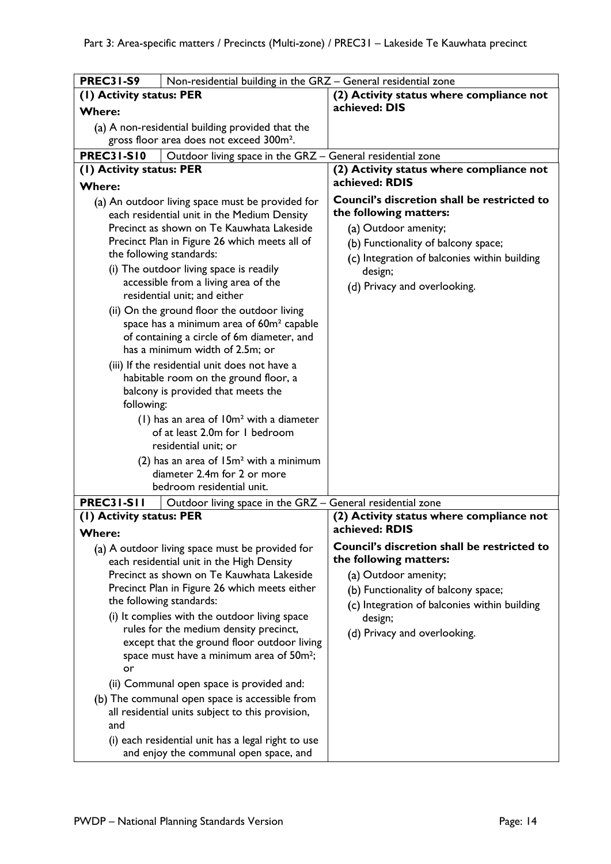| <b>PREC31-S9</b>         | Non-residential building in the GRZ - General residential zone                                      |                                                                       |
|--------------------------|-----------------------------------------------------------------------------------------------------|-----------------------------------------------------------------------|
| (1) Activity status: PER |                                                                                                     | (2) Activity status where compliance not                              |
| <b>Where:</b>            |                                                                                                     | achieved: DIS                                                         |
|                          | (a) A non-residential building provided that the                                                    |                                                                       |
|                          | gross floor area does not exceed 300m <sup>2</sup> .                                                |                                                                       |
| <b>PREC31-S10</b>        | Outdoor living space in the GRZ - General residential zone                                          |                                                                       |
| (1) Activity status: PER |                                                                                                     | (2) Activity status where compliance not                              |
| <b>Where:</b>            |                                                                                                     | achieved: RDIS                                                        |
|                          | (a) An outdoor living space must be provided for                                                    | Council's discretion shall be restricted to                           |
|                          | each residential unit in the Medium Density                                                         | the following matters:                                                |
|                          | Precinct as shown on Te Kauwhata Lakeside                                                           | (a) Outdoor amenity;                                                  |
|                          | Precinct Plan in Figure 26 which meets all of                                                       | (b) Functionality of balcony space;                                   |
|                          | the following standards:                                                                            | (c) Integration of balconies within building                          |
|                          | (i) The outdoor living space is readily                                                             | design;                                                               |
|                          | accessible from a living area of the                                                                | (d) Privacy and overlooking.                                          |
|                          | residential unit; and either                                                                        |                                                                       |
|                          | (ii) On the ground floor the outdoor living                                                         |                                                                       |
|                          | space has a minimum area of 60m <sup>2</sup> capable                                                |                                                                       |
|                          | of containing a circle of 6m diameter, and<br>has a minimum width of 2.5m; or                       |                                                                       |
|                          | (iii) If the residential unit does not have a                                                       |                                                                       |
|                          | habitable room on the ground floor, a                                                               |                                                                       |
|                          | balcony is provided that meets the                                                                  |                                                                       |
| following:               |                                                                                                     |                                                                       |
|                          | $(1)$ has an area of $10m2$ with a diameter                                                         |                                                                       |
|                          | of at least 2.0m for 1 bedroom                                                                      |                                                                       |
|                          | residential unit; or                                                                                |                                                                       |
|                          | (2) has an area of $15m^2$ with a minimum                                                           |                                                                       |
|                          | diameter 2.4m for 2 or more                                                                         |                                                                       |
|                          | bedroom residential unit.                                                                           |                                                                       |
| <b>PREC31-S11</b>        | Outdoor living space in the GRZ - General residential zone                                          |                                                                       |
| (1) Activity status: PER |                                                                                                     | (2) Activity status where compliance not                              |
| <b>W</b> here:           |                                                                                                     | achieved: RDIS                                                        |
|                          | (a) A outdoor living space must be provided for<br>each residential unit in the High Density        | Council's discretion shall be restricted to<br>the following matters: |
|                          | Precinct as shown on Te Kauwhata Lakeside                                                           | (a) Outdoor amenity;                                                  |
|                          | Precinct Plan in Figure 26 which meets either                                                       | (b) Functionality of balcony space;                                   |
|                          | the following standards:                                                                            | (c) Integration of balconies within building                          |
|                          | (i) It complies with the outdoor living space                                                       | design;                                                               |
|                          | rules for the medium density precinct,                                                              | (d) Privacy and overlooking.                                          |
|                          | except that the ground floor outdoor living<br>space must have a minimum area of 50m <sup>2</sup> ; |                                                                       |
| or                       |                                                                                                     |                                                                       |
|                          | (ii) Communal open space is provided and:                                                           |                                                                       |
|                          | (b) The communal open space is accessible from                                                      |                                                                       |
|                          | all residential units subject to this provision,                                                    |                                                                       |
| and                      |                                                                                                     |                                                                       |
|                          | (i) each residential unit has a legal right to use                                                  |                                                                       |
|                          | and enjoy the communal open space, and                                                              |                                                                       |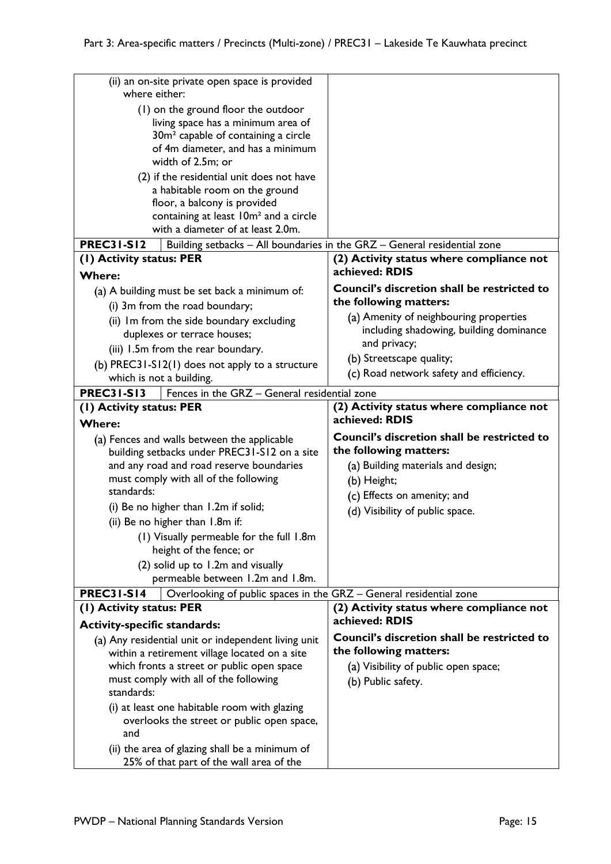| (ii) an on-site private open space is provided<br>where either:                             |                                                                          |
|---------------------------------------------------------------------------------------------|--------------------------------------------------------------------------|
| (1) on the ground floor the outdoor                                                         |                                                                          |
| living space has a minimum area of                                                          |                                                                          |
| 30m <sup>2</sup> capable of containing a circle                                             |                                                                          |
| of 4m diameter, and has a minimum                                                           |                                                                          |
| width of 2.5m; or                                                                           |                                                                          |
| (2) if the residential unit does not have                                                   |                                                                          |
| a habitable room on the ground                                                              |                                                                          |
| floor, a balcony is provided<br>containing at least 10m <sup>2</sup> and a circle           |                                                                          |
| with a diameter of at least 2.0m.                                                           |                                                                          |
| <b>PREC31-S12</b>                                                                           | Building setbacks - All boundaries in the GRZ - General residential zone |
| (1) Activity status: PER                                                                    | (2) Activity status where compliance not                                 |
| <b>Where:</b>                                                                               | achieved: RDIS                                                           |
| (a) A building must be set back a minimum of:                                               | Council's discretion shall be restricted to                              |
| (i) 3m from the road boundary;                                                              | the following matters:                                                   |
| (ii) Im from the side boundary excluding                                                    | (a) Amenity of neighbouring properties                                   |
| duplexes or terrace houses;                                                                 | including shadowing, building dominance                                  |
| (iii) 1.5m from the rear boundary.                                                          | and privacy;                                                             |
| (b) PREC31-S12(1) does not apply to a structure                                             | (b) Streetscape quality;                                                 |
| which is not a building.                                                                    | (c) Road network safety and efficiency.                                  |
| <b>PREC31-S13</b><br>Fences in the GRZ - General residential zone                           |                                                                          |
| (1) Activity status: PER<br><b>Where:</b>                                                   | (2) Activity status where compliance not<br>achieved: RDIS               |
|                                                                                             | Council's discretion shall be restricted to                              |
| (a) Fences and walls between the applicable<br>building setbacks under PREC31-S12 on a site | the following matters:                                                   |
| and any road and road reserve boundaries                                                    | (a) Building materials and design;                                       |
| must comply with all of the following                                                       | (b) Height;                                                              |
| standards:                                                                                  | (c) Effects on amenity; and                                              |
| (i) Be no higher than 1.2m if solid;                                                        | (d) Visibility of public space.                                          |
| (ii) Be no higher than 1.8m if:                                                             |                                                                          |
| (1) Visually permeable for the full 1.8m<br>height of the fence; or                         |                                                                          |
| (2) solid up to 1.2m and visually                                                           |                                                                          |
| permeable between 1.2m and 1.8m.                                                            |                                                                          |
| <b>PREC31-S14</b><br>Overlooking of public spaces in the GRZ - General residential zone     |                                                                          |
|                                                                                             |                                                                          |
| (1) Activity status: PER                                                                    | (2) Activity status where compliance not                                 |
|                                                                                             | achieved: RDIS                                                           |
| <b>Activity-specific standards:</b><br>(a) Any residential unit or independent living unit  | Council's discretion shall be restricted to                              |
| within a retirement village located on a site                                               | the following matters:                                                   |
| which fronts a street or public open space                                                  | (a) Visibility of public open space;                                     |
| must comply with all of the following                                                       | (b) Public safety.                                                       |
| standards:                                                                                  |                                                                          |
| (i) at least one habitable room with glazing                                                |                                                                          |
| overlooks the street or public open space,                                                  |                                                                          |
| and<br>(ii) the area of glazing shall be a minimum of                                       |                                                                          |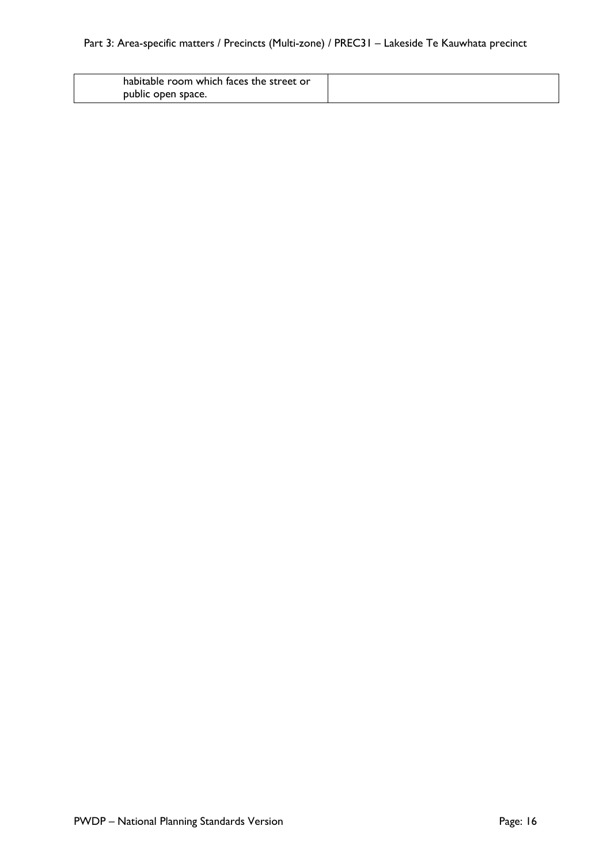# Part 3: Area-specific matters / Precincts (Multi-zone) / PREC31 – Lakeside Te Kauwhata precinct

| habitable room which faces the street or |  |
|------------------------------------------|--|
| public open space.                       |  |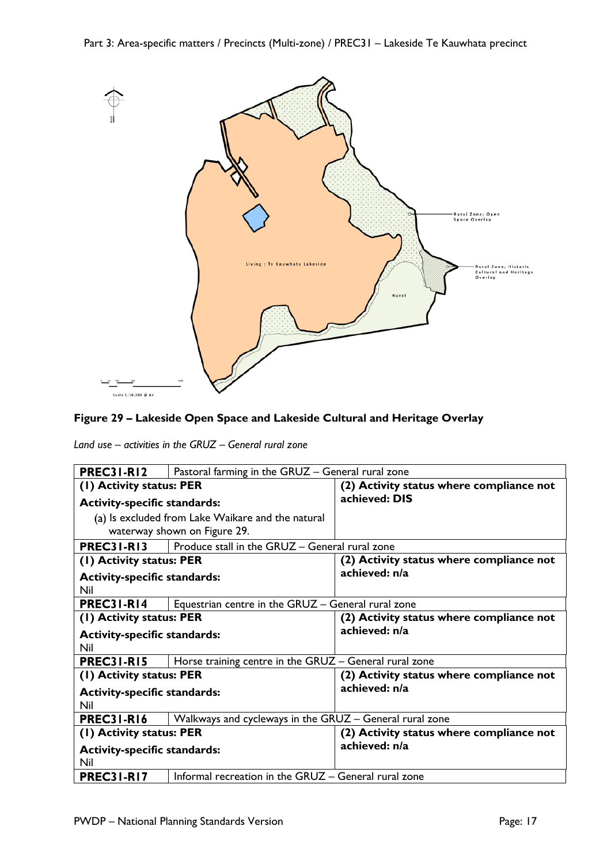Part 3: Area-specific matters / Precincts (Multi-zone) / PREC31 – Lakeside Te Kauwhata precinct



### **Figure 29 – Lakeside Open Space and Lakeside Cultural and Heritage Overlay**

*Land use – activities in the GRUZ – General rural zone*

| <b>PREC31-R12</b>                                 | Pastoral farming in the GRUZ - General rural zone       |                                          |
|---------------------------------------------------|---------------------------------------------------------|------------------------------------------|
| (1) Activity status: PER                          |                                                         | (2) Activity status where compliance not |
| <b>Activity-specific standards:</b>               |                                                         | achieved: DIS                            |
| (a) Is excluded from Lake Waikare and the natural |                                                         |                                          |
| waterway shown on Figure 29.                      |                                                         |                                          |
| <b>PREC31-R13</b>                                 | Produce stall in the GRUZ - General rural zone          |                                          |
| (1) Activity status: PER                          |                                                         | (2) Activity status where compliance not |
| <b>Activity-specific standards:</b>               |                                                         | achieved: n/a                            |
| Nil                                               |                                                         |                                          |
| <b>PREC31-R14</b>                                 | Equestrian centre in the GRUZ - General rural zone      |                                          |
| (1) Activity status: PER                          |                                                         | (2) Activity status where compliance not |
| <b>Activity-specific standards:</b>               |                                                         | achieved: n/a                            |
| Nil                                               |                                                         |                                          |
| <b>PREC31-R15</b>                                 | Horse training centre in the GRUZ - General rural zone  |                                          |
| (I) Activity status: PER                          |                                                         | (2) Activity status where compliance not |
| <b>Activity-specific standards:</b>               |                                                         | achieved: n/a                            |
| Nil                                               |                                                         |                                          |
| <b>PREC31-R16</b>                                 | Walkways and cycleways in the GRUZ - General rural zone |                                          |
| (1) Activity status: PER                          |                                                         | (2) Activity status where compliance not |
| <b>Activity-specific standards:</b>               |                                                         | achieved: n/a                            |
| Nil                                               |                                                         |                                          |
| <b>PREC31-R17</b>                                 | Informal recreation in the GRUZ - General rural zone    |                                          |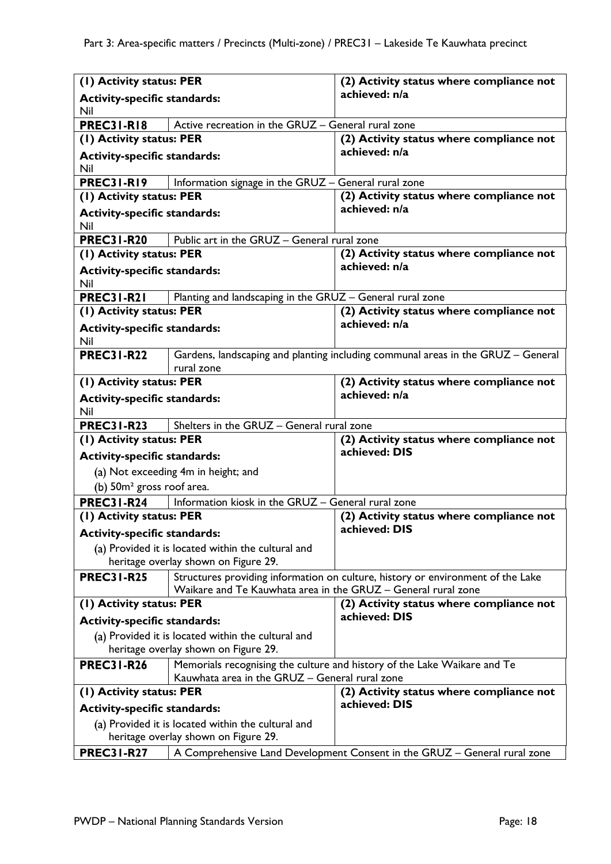| (1) Activity status: PER                           |                                                               | (2) Activity status where compliance not                                         |
|----------------------------------------------------|---------------------------------------------------------------|----------------------------------------------------------------------------------|
| <b>Activity-specific standards:</b>                |                                                               | achieved: n/a                                                                    |
| Nil                                                |                                                               |                                                                                  |
| <b>PREC31-R18</b>                                  | Active recreation in the GRUZ - General rural zone            |                                                                                  |
| (1) Activity status: PER                           |                                                               | (2) Activity status where compliance not                                         |
| <b>Activity-specific standards:</b>                |                                                               | achieved: n/a                                                                    |
| Nil                                                |                                                               |                                                                                  |
| <b>PREC31-R19</b>                                  | Information signage in the GRUZ - General rural zone          |                                                                                  |
| (1) Activity status: PER                           |                                                               | (2) Activity status where compliance not                                         |
| <b>Activity-specific standards:</b>                |                                                               | achieved: n/a                                                                    |
| Nil                                                |                                                               |                                                                                  |
| <b>PREC31-R20</b>                                  | Public art in the GRUZ - General rural zone                   | (2) Activity status where compliance not                                         |
| (1) Activity status: PER                           |                                                               | achieved: n/a                                                                    |
| <b>Activity-specific standards:</b><br>Nil         |                                                               |                                                                                  |
| <b>PREC31-R21</b>                                  | Planting and landscaping in the GRUZ - General rural zone     |                                                                                  |
| (1) Activity status: PER                           |                                                               | (2) Activity status where compliance not                                         |
|                                                    |                                                               | achieved: n/a                                                                    |
| <b>Activity-specific standards:</b><br>Nil         |                                                               |                                                                                  |
| <b>PREC31-R22</b>                                  |                                                               | Gardens, landscaping and planting including communal areas in the GRUZ - General |
|                                                    | rural zone                                                    |                                                                                  |
| (1) Activity status: PER                           |                                                               | (2) Activity status where compliance not                                         |
| <b>Activity-specific standards:</b>                |                                                               | achieved: n/a                                                                    |
| Nil                                                |                                                               |                                                                                  |
| <b>PREC31-R23</b>                                  | Shelters in the GRUZ - General rural zone                     |                                                                                  |
| (1) Activity status: PER                           |                                                               | (2) Activity status where compliance not                                         |
| <b>Activity-specific standards:</b>                |                                                               | achieved: DIS                                                                    |
|                                                    | (a) Not exceeding 4m in height; and                           |                                                                                  |
| (b) 50m <sup>2</sup> gross roof area.              |                                                               |                                                                                  |
| <b>PREC31-R24</b>                                  | Information kiosk in the GRUZ - General rural zone            |                                                                                  |
| (I) Activity status: PER                           |                                                               | (2) Activity status where compliance not                                         |
| <b>Activity-specific standards:</b>                |                                                               | achieved: DIS                                                                    |
|                                                    | (a) Provided it is located within the cultural and            |                                                                                  |
|                                                    | heritage overlay shown on Figure 29.                          |                                                                                  |
| <b>PREC31-R25</b>                                  |                                                               | Structures providing information on culture, history or environment of the Lake  |
|                                                    | Waikare and Te Kauwhata area in the GRUZ - General rural zone |                                                                                  |
| (1) Activity status: PER                           |                                                               | (2) Activity status where compliance not                                         |
| <b>Activity-specific standards:</b>                |                                                               | achieved: DIS                                                                    |
| (a) Provided it is located within the cultural and |                                                               |                                                                                  |
| heritage overlay shown on Figure 29.               |                                                               |                                                                                  |
| <b>PREC31-R26</b>                                  |                                                               | Memorials recognising the culture and history of the Lake Waikare and Te         |
| Kauwhata area in the GRUZ - General rural zone     |                                                               |                                                                                  |
| (1) Activity status: PER                           |                                                               | (2) Activity status where compliance not                                         |
| <b>Activity-specific standards:</b>                |                                                               | achieved: DIS                                                                    |
| (a) Provided it is located within the cultural and |                                                               |                                                                                  |
|                                                    | heritage overlay shown on Figure 29.                          |                                                                                  |
| <b>PREC31-R27</b>                                  |                                                               | A Comprehensive Land Development Consent in the GRUZ - General rural zone        |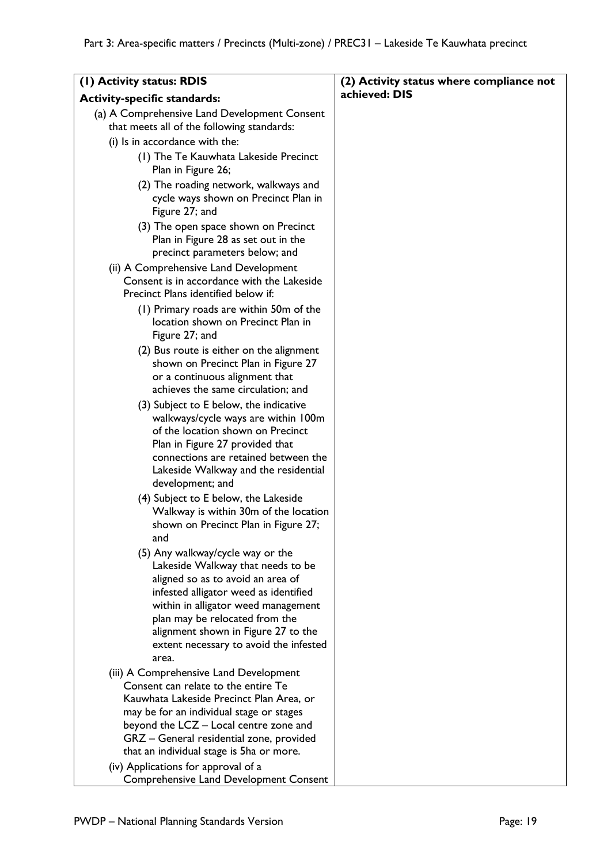| (1) Activity status: RDIS                                                                                                                                                                                                                                           | (2) Activity status where compliance not |
|---------------------------------------------------------------------------------------------------------------------------------------------------------------------------------------------------------------------------------------------------------------------|------------------------------------------|
| <b>Activity-specific standards:</b>                                                                                                                                                                                                                                 | achieved: DIS                            |
| (a) A Comprehensive Land Development Consent<br>that meets all of the following standards:                                                                                                                                                                          |                                          |
| (i) Is in accordance with the:                                                                                                                                                                                                                                      |                                          |
| (1) The Te Kauwhata Lakeside Precinct<br>Plan in Figure 26;                                                                                                                                                                                                         |                                          |
| (2) The roading network, walkways and<br>cycle ways shown on Precinct Plan in<br>Figure 27; and                                                                                                                                                                     |                                          |
| (3) The open space shown on Precinct<br>Plan in Figure 28 as set out in the<br>precinct parameters below; and                                                                                                                                                       |                                          |
| (ii) A Comprehensive Land Development<br>Consent is in accordance with the Lakeside<br>Precinct Plans identified below if:                                                                                                                                          |                                          |
| (1) Primary roads are within 50m of the<br>location shown on Precinct Plan in<br>Figure 27; and                                                                                                                                                                     |                                          |
| (2) Bus route is either on the alignment<br>shown on Precinct Plan in Figure 27<br>or a continuous alignment that                                                                                                                                                   |                                          |
| achieves the same circulation; and<br>(3) Subject to E below, the indicative                                                                                                                                                                                        |                                          |
| walkways/cycle ways are within 100m<br>of the location shown on Precinct<br>Plan in Figure 27 provided that<br>connections are retained between the<br>Lakeside Walkway and the residential                                                                         |                                          |
| development; and<br>(4) Subject to E below, the Lakeside<br>Walkway is within 30m of the location<br>shown on Precinct Plan in Figure 27;                                                                                                                           |                                          |
| and                                                                                                                                                                                                                                                                 |                                          |
| (5) Any walkway/cycle way or the<br>Lakeside Walkway that needs to be<br>aligned so as to avoid an area of<br>infested alligator weed as identified<br>within in alligator weed management<br>plan may be relocated from the<br>alignment shown in Figure 27 to the |                                          |
| extent necessary to avoid the infested<br>area.                                                                                                                                                                                                                     |                                          |
| (iii) A Comprehensive Land Development<br>Consent can relate to the entire Te<br>Kauwhata Lakeside Precinct Plan Area, or<br>may be for an individual stage or stages                                                                                               |                                          |
| beyond the LCZ - Local centre zone and<br>GRZ - General residential zone, provided<br>that an individual stage is 5ha or more.                                                                                                                                      |                                          |
| (iv) Applications for approval of a<br>Comprehensive Land Development Consent                                                                                                                                                                                       |                                          |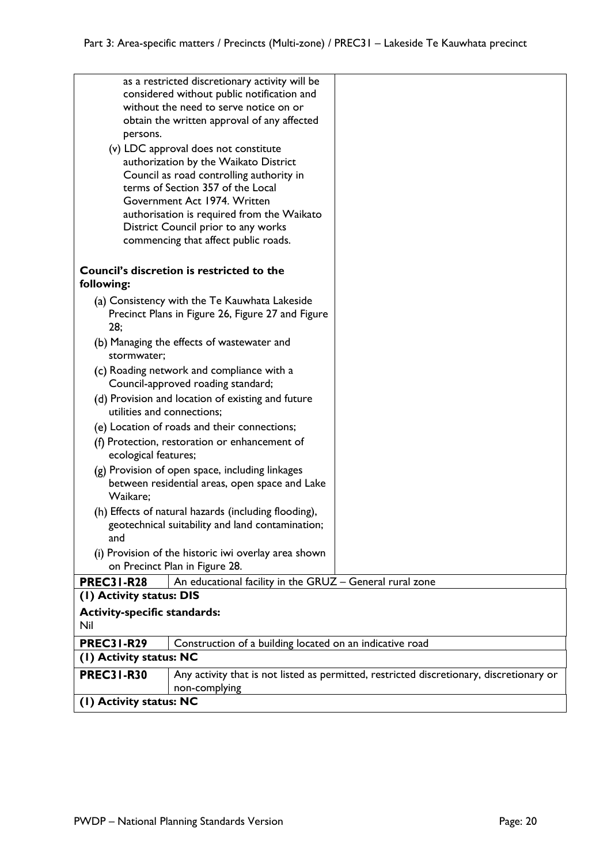|                                                 | considered without public notification and               |                                                                                          |
|-------------------------------------------------|----------------------------------------------------------|------------------------------------------------------------------------------------------|
|                                                 | without the need to serve notice on or                   |                                                                                          |
|                                                 | obtain the written approval of any affected              |                                                                                          |
| persons.                                        |                                                          |                                                                                          |
|                                                 |                                                          |                                                                                          |
|                                                 | (v) LDC approval does not constitute                     |                                                                                          |
|                                                 | authorization by the Waikato District                    |                                                                                          |
|                                                 | Council as road controlling authority in                 |                                                                                          |
|                                                 | terms of Section 357 of the Local                        |                                                                                          |
|                                                 | Government Act 1974. Written                             |                                                                                          |
|                                                 | authorisation is required from the Waikato               |                                                                                          |
|                                                 | District Council prior to any works                      |                                                                                          |
|                                                 | commencing that affect public roads.                     |                                                                                          |
|                                                 |                                                          |                                                                                          |
|                                                 | Council's discretion is restricted to the                |                                                                                          |
| following:                                      |                                                          |                                                                                          |
|                                                 |                                                          |                                                                                          |
|                                                 | (a) Consistency with the Te Kauwhata Lakeside            |                                                                                          |
|                                                 | Precinct Plans in Figure 26, Figure 27 and Figure        |                                                                                          |
| 28;                                             |                                                          |                                                                                          |
|                                                 | (b) Managing the effects of wastewater and               |                                                                                          |
| stormwater;                                     |                                                          |                                                                                          |
|                                                 | (c) Roading network and compliance with a                |                                                                                          |
|                                                 | Council-approved roading standard;                       |                                                                                          |
|                                                 |                                                          |                                                                                          |
|                                                 | (d) Provision and location of existing and future        |                                                                                          |
|                                                 | utilities and connections;                               |                                                                                          |
| (e) Location of roads and their connections;    |                                                          |                                                                                          |
| (f) Protection, restoration or enhancement of   |                                                          |                                                                                          |
| ecological features;                            |                                                          |                                                                                          |
| (g) Provision of open space, including linkages |                                                          |                                                                                          |
|                                                 | between residential areas, open space and Lake           |                                                                                          |
| Waikare;                                        |                                                          |                                                                                          |
|                                                 |                                                          |                                                                                          |
|                                                 | (h) Effects of natural hazards (including flooding),     |                                                                                          |
|                                                 | geotechnical suitability and land contamination;         |                                                                                          |
| and                                             |                                                          |                                                                                          |
|                                                 | (i) Provision of the historic iwi overlay area shown     |                                                                                          |
|                                                 | on Precinct Plan in Figure 28.                           |                                                                                          |
| <b>PREC31-R28</b>                               | An educational facility in the GRUZ - General rural zone |                                                                                          |
| (I) Activity status: DIS                        |                                                          |                                                                                          |
| <b>Activity-specific standards:</b>             |                                                          |                                                                                          |
| Nil                                             |                                                          |                                                                                          |
|                                                 |                                                          |                                                                                          |
| <b>PREC31-R29</b>                               | Construction of a building located on an indicative road |                                                                                          |
| (1) Activity status: NC                         |                                                          |                                                                                          |
| <b>PREC31-R30</b>                               |                                                          | Any activity that is not listed as permitted, restricted discretionary, discretionary or |
|                                                 | non-complying                                            |                                                                                          |
| (1) Activity status: NC                         |                                                          |                                                                                          |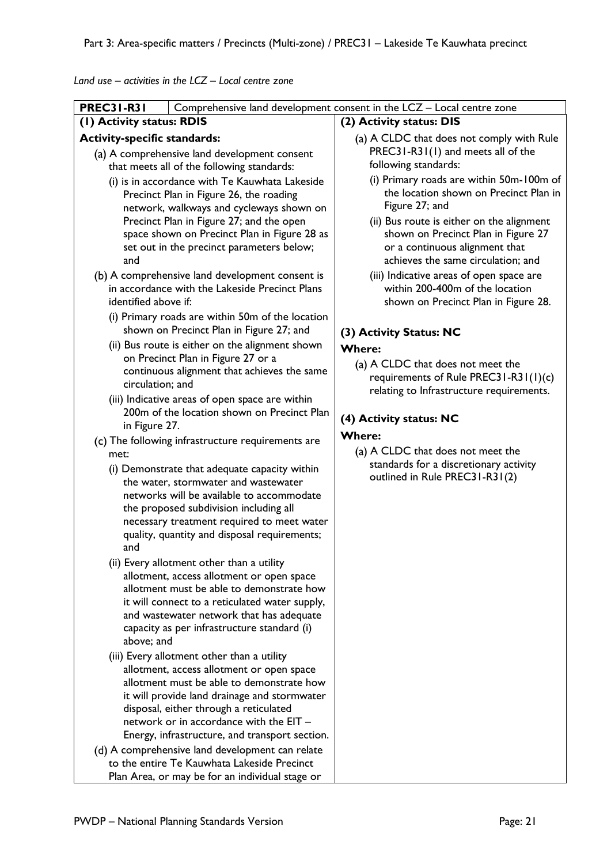*Land use – activities in the LCZ – Local centre zone*

| Comprehensive land development consent in the LCZ - Local centre zone<br>(2) Activity status: DIS<br>(a) A CLDC that does not comply with Rule<br>PREC31-R31(1) and meets all of the<br>following standards:<br>(i) Primary roads are within 50m-100m of<br>the location shown on Precinct Plan in<br>Figure 27; and<br>(ii) Bus route is either on the alignment<br>shown on Precinct Plan in Figure 27<br>or a continuous alignment that<br>achieves the same circulation; and<br>(iii) Indicative areas of open space are<br>within 200-400m of the location<br>shown on Precinct Plan in Figure 28.<br>(3) Activity Status: NC<br><b>Where:</b><br>(a) A CLDC that does not meet the |
|------------------------------------------------------------------------------------------------------------------------------------------------------------------------------------------------------------------------------------------------------------------------------------------------------------------------------------------------------------------------------------------------------------------------------------------------------------------------------------------------------------------------------------------------------------------------------------------------------------------------------------------------------------------------------------------|
|                                                                                                                                                                                                                                                                                                                                                                                                                                                                                                                                                                                                                                                                                          |
|                                                                                                                                                                                                                                                                                                                                                                                                                                                                                                                                                                                                                                                                                          |
|                                                                                                                                                                                                                                                                                                                                                                                                                                                                                                                                                                                                                                                                                          |
|                                                                                                                                                                                                                                                                                                                                                                                                                                                                                                                                                                                                                                                                                          |
|                                                                                                                                                                                                                                                                                                                                                                                                                                                                                                                                                                                                                                                                                          |
|                                                                                                                                                                                                                                                                                                                                                                                                                                                                                                                                                                                                                                                                                          |
|                                                                                                                                                                                                                                                                                                                                                                                                                                                                                                                                                                                                                                                                                          |
|                                                                                                                                                                                                                                                                                                                                                                                                                                                                                                                                                                                                                                                                                          |
| requirements of Rule PREC31-R31(1)(c)                                                                                                                                                                                                                                                                                                                                                                                                                                                                                                                                                                                                                                                    |
| relating to Infrastructure requirements.<br>(4) Activity status: NC                                                                                                                                                                                                                                                                                                                                                                                                                                                                                                                                                                                                                      |
| <b>Where:</b>                                                                                                                                                                                                                                                                                                                                                                                                                                                                                                                                                                                                                                                                            |
| (a) A CLDC that does not meet the                                                                                                                                                                                                                                                                                                                                                                                                                                                                                                                                                                                                                                                        |
| standards for a discretionary activity<br>outlined in Rule PREC31-R31(2)                                                                                                                                                                                                                                                                                                                                                                                                                                                                                                                                                                                                                 |
|                                                                                                                                                                                                                                                                                                                                                                                                                                                                                                                                                                                                                                                                                          |
|                                                                                                                                                                                                                                                                                                                                                                                                                                                                                                                                                                                                                                                                                          |
|                                                                                                                                                                                                                                                                                                                                                                                                                                                                                                                                                                                                                                                                                          |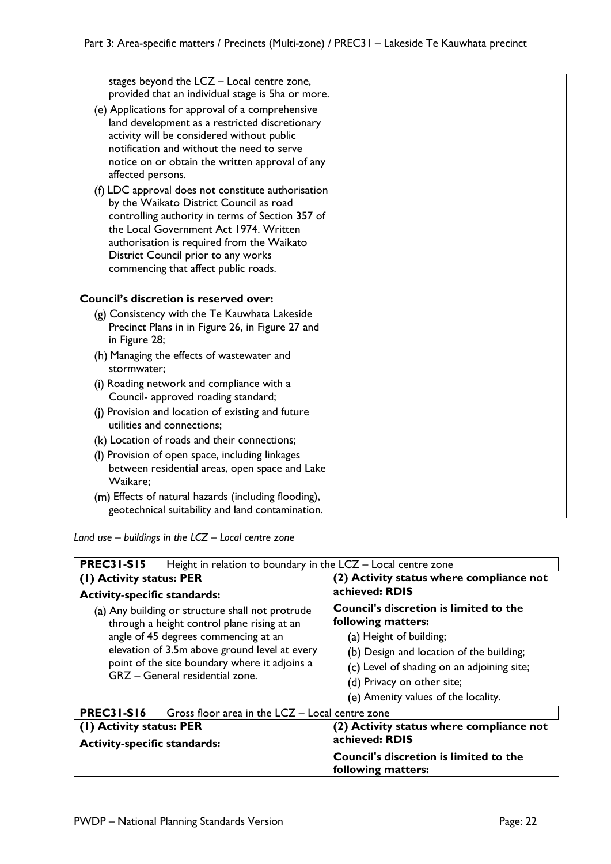| stages beyond the LCZ - Local centre zone,<br>provided that an individual stage is 5ha or more.                                                                                                                                                                                                                          |  |
|--------------------------------------------------------------------------------------------------------------------------------------------------------------------------------------------------------------------------------------------------------------------------------------------------------------------------|--|
| (e) Applications for approval of a comprehensive<br>land development as a restricted discretionary<br>activity will be considered without public<br>notification and without the need to serve<br>notice on or obtain the written approval of any<br>affected persons.                                                   |  |
| (f) LDC approval does not constitute authorisation<br>by the Waikato District Council as road<br>controlling authority in terms of Section 357 of<br>the Local Government Act 1974. Written<br>authorisation is required from the Waikato<br>District Council prior to any works<br>commencing that affect public roads. |  |
| <b>Council's discretion is reserved over:</b>                                                                                                                                                                                                                                                                            |  |
| (g) Consistency with the Te Kauwhata Lakeside<br>Precinct Plans in in Figure 26, in Figure 27 and<br>in Figure 28;                                                                                                                                                                                                       |  |
| (h) Managing the effects of wastewater and<br>stormwater:                                                                                                                                                                                                                                                                |  |
| (i) Roading network and compliance with a<br>Council- approved roading standard;                                                                                                                                                                                                                                         |  |
| (j) Provision and location of existing and future<br>utilities and connections;                                                                                                                                                                                                                                          |  |
| (k) Location of roads and their connections;                                                                                                                                                                                                                                                                             |  |
| (I) Provision of open space, including linkages<br>between residential areas, open space and Lake<br>Waikare;                                                                                                                                                                                                            |  |
| (m) Effects of natural hazards (including flooding),<br>geotechnical suitability and land contamination.                                                                                                                                                                                                                 |  |

*Land use – buildings in the LCZ – Local centre zone*

| <b>PREC31-S15</b>                                                                               | Height in relation to boundary in the LCZ – Local centre zone |                                                                     |
|-------------------------------------------------------------------------------------------------|---------------------------------------------------------------|---------------------------------------------------------------------|
| (1) Activity status: PER                                                                        |                                                               | (2) Activity status where compliance not                            |
| <b>Activity-specific standards:</b>                                                             |                                                               | achieved: RDIS                                                      |
| (a) Any building or structure shall not protrude<br>through a height control plane rising at an |                                                               | <b>Council's discretion is limited to the</b><br>following matters: |
| angle of 45 degrees commencing at an                                                            |                                                               | (a) Height of building;                                             |
| elevation of 3.5m above ground level at every                                                   |                                                               | (b) Design and location of the building;                            |
| point of the site boundary where it adjoins a                                                   |                                                               | (c) Level of shading on an adjoining site;                          |
| GRZ - General residential zone.                                                                 |                                                               | (d) Privacy on other site;                                          |
|                                                                                                 |                                                               | (e) Amenity values of the locality.                                 |
| <b>PREC31-S16</b>                                                                               | Gross floor area in the LCZ - Local centre zone               |                                                                     |
| (1) Activity status: PER                                                                        |                                                               | (2) Activity status where compliance not                            |
| <b>Activity-specific standards:</b>                                                             |                                                               | achieved: RDIS                                                      |
|                                                                                                 |                                                               | <b>Council's discretion is limited to the</b><br>following matters: |